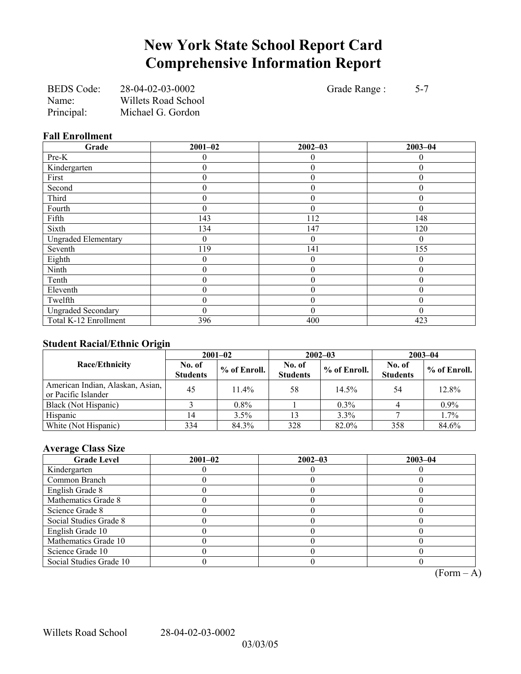# **New York State School Report Card Comprehensive Information Report**

| <b>BEDS</b> Code: | 28-04-02-03-0002           |
|-------------------|----------------------------|
| Name:             | <b>Willets Road School</b> |
| Principal:        | Michael G. Gordon          |

Grade Range : 5-7

### **Fall Enrollment**

| Grade                      | $2001 - 02$ | $2002 - 03$      | $2003 - 04$ |
|----------------------------|-------------|------------------|-------------|
| Pre-K                      |             | $\theta$         |             |
| Kindergarten               | 0           | $\boldsymbol{0}$ |             |
| First                      | $\theta$    | $\theta$         | 0           |
| Second                     | 0           | $\theta$         | 0           |
| Third                      | 0           | $\theta$         | 0           |
| Fourth                     | $\theta$    | $\theta$         |             |
| Fifth                      | 143         | 112              | 148         |
| Sixth                      | 134         | 147              | 120         |
| <b>Ungraded Elementary</b> | 0           | $\theta$         | 0           |
| Seventh                    | 119         | 141              | 155         |
| Eighth                     | 0           | $\overline{0}$   | $\theta$    |
| Ninth                      | $\theta$    | $\theta$         | 0           |
| Tenth                      | $\theta$    | $\theta$         | 0           |
| Eleventh                   | $\theta$    | $\theta$         | 0           |
| Twelfth                    | 0           | $\theta$         |             |
| <b>Ungraded Secondary</b>  | $\theta$    | $\theta$         | 0           |
| Total K-12 Enrollment      | 396         | 400              | 423         |

### **Student Racial/Ethnic Origin**

|                                                         | $2001 - 02$               |              |                           | $2002 - 03$  | $2003 - 04$               |                |
|---------------------------------------------------------|---------------------------|--------------|---------------------------|--------------|---------------------------|----------------|
| <b>Race/Ethnicity</b>                                   | No. of<br><b>Students</b> | % of Enroll. | No. of<br><b>Students</b> | % of Enroll. | No. of<br><b>Students</b> | $%$ of Enroll. |
| American Indian, Alaskan, Asian,<br>or Pacific Islander | 45                        | $11.4\%$     | 58                        | 14.5%        | 54                        | 12.8%          |
| Black (Not Hispanic)                                    |                           | $0.8\%$      |                           | $0.3\%$      |                           | $0.9\%$        |
| Hispanic                                                | 14                        | 3.5%         | 13                        | 3.3%         |                           | 1.7%           |
| White (Not Hispanic)                                    | 334                       | 84.3%        | 328                       | 82.0%        | 358                       | 84.6%          |

### **Average Class Size**

| <b>Grade Level</b>      | $2001 - 02$ | $2002 - 03$ | $2003 - 04$ |
|-------------------------|-------------|-------------|-------------|
| Kindergarten            |             |             |             |
| Common Branch           |             |             |             |
| English Grade 8         |             |             |             |
| Mathematics Grade 8     |             |             |             |
| Science Grade 8         |             |             |             |
| Social Studies Grade 8  |             |             |             |
| English Grade 10        |             |             |             |
| Mathematics Grade 10    |             |             |             |
| Science Grade 10        |             |             |             |
| Social Studies Grade 10 |             |             |             |

 $\overline{(Form - A)}$ 

Willets Road School 28-04-02-03-0002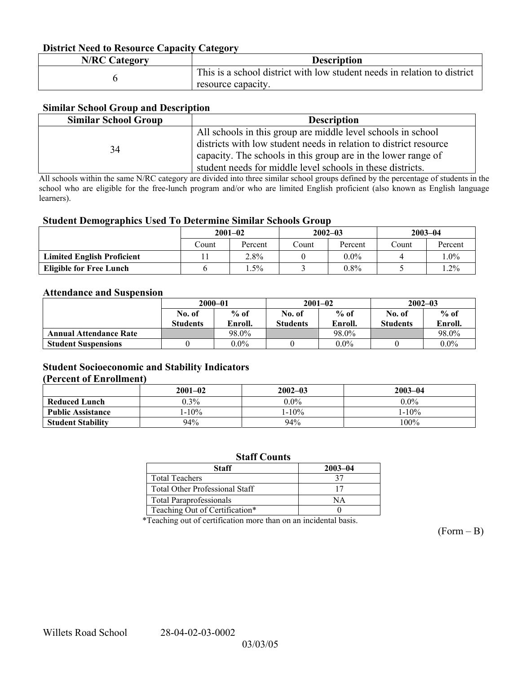### **District Need to Resource Capacity Category**

| <b>N/RC Category</b> | <b>Description</b>                                                                             |
|----------------------|------------------------------------------------------------------------------------------------|
|                      | This is a school district with low student needs in relation to district<br>resource capacity. |

### **Similar School Group and Description**

| <b>Similar School Group</b> | <b>Description</b>                                                                                                                                                                                                                                               |
|-----------------------------|------------------------------------------------------------------------------------------------------------------------------------------------------------------------------------------------------------------------------------------------------------------|
| 34                          | All schools in this group are middle level schools in school<br>districts with low student needs in relation to district resource<br>capacity. The schools in this group are in the lower range of<br>student needs for middle level schools in these districts. |

All schools within the same N/RC category are divided into three similar school groups defined by the percentage of students in the school who are eligible for the free-lunch program and/or who are limited English proficient (also known as English language learners).

#### **Student Demographics Used To Determine Similar Schools Group**

|                                   | $2001 - 02$ |         | $2002 - 03$ |         | $2003 - 04$ |         |
|-----------------------------------|-------------|---------|-------------|---------|-------------|---------|
|                                   | Count       | Percent | Count       | Percent | Count       | Percent |
| <b>Limited English Proficient</b> |             | 2.8%    |             | $0.0\%$ |             | $1.0\%$ |
| <b>Eligible for Free Lunch</b>    |             | $.5\%$  |             | $0.8\%$ |             | $1.2\%$ |

#### **Attendance and Suspension**

|                               | $2000 - 01$      |         |                  | $2001 - 02$ | $2002 - 03$      |         |
|-------------------------------|------------------|---------|------------------|-------------|------------------|---------|
|                               | $%$ of<br>No. of |         | $%$ of<br>No. of |             | $%$ of<br>No. of |         |
|                               | <b>Students</b>  | Enroll. | <b>Students</b>  | Enroll.     | <b>Students</b>  | Enroll. |
| <b>Annual Attendance Rate</b> |                  | 98.0%   |                  | 98.0%       |                  | 98.0%   |
| <b>Student Suspensions</b>    |                  | $0.0\%$ |                  | $0.0\%$     |                  | $0.0\%$ |

### **Student Socioeconomic and Stability Indicators (Percent of Enrollment)**

|                          | $2001 - 02$ | $2002 - 03$ | $2003 - 04$ |
|--------------------------|-------------|-------------|-------------|
| <b>Reduced Lunch</b>     | $0.3\%$     | $0.0\%$     | $0.0\%$     |
| <b>Public Assistance</b> | $-10%$      | $1 - 10\%$  | $1 - 10\%$  |
| <b>Student Stability</b> | 94%         | 94%         | 100%        |

#### **Staff Counts**

| Staff                                 | $2003 - 04$ |
|---------------------------------------|-------------|
| <b>Total Teachers</b>                 |             |
| <b>Total Other Professional Staff</b> |             |
| <b>Total Paraprofessionals</b>        |             |
| Teaching Out of Certification*        |             |

\*Teaching out of certification more than on an incidental basis.

 $(Form - B)$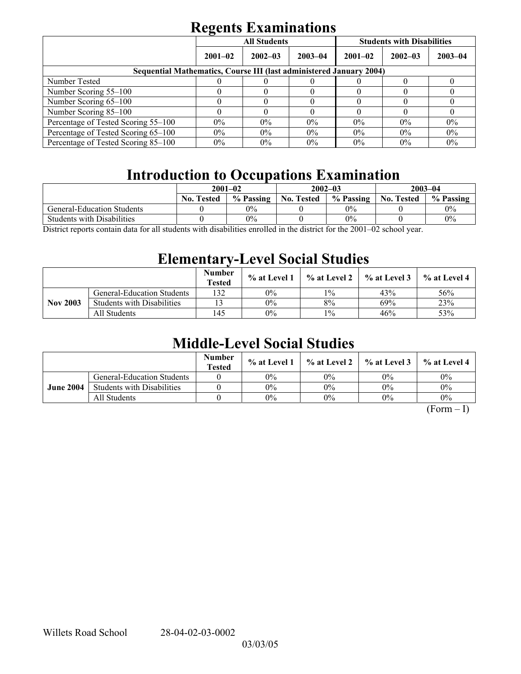# **Regents Examinations**

|                                                                            | $\overline{\phantom{0}}$<br><b>All Students</b> |             |             | <b>Students with Disabilities</b> |             |             |  |
|----------------------------------------------------------------------------|-------------------------------------------------|-------------|-------------|-----------------------------------|-------------|-------------|--|
|                                                                            | $2001 - 02$                                     | $2002 - 03$ | $2003 - 04$ | $2001 - 02$                       | $2002 - 03$ | $2003 - 04$ |  |
| <b>Sequential Mathematics, Course III (last administered January 2004)</b> |                                                 |             |             |                                   |             |             |  |
| Number Tested                                                              |                                                 |             |             |                                   |             |             |  |
| Number Scoring 55–100                                                      |                                                 |             |             |                                   |             |             |  |
| Number Scoring 65-100                                                      |                                                 |             |             |                                   |             |             |  |
| Number Scoring 85-100                                                      |                                                 |             |             |                                   |             |             |  |
| Percentage of Tested Scoring 55-100                                        | $0\%$                                           | $0\%$       | $0\%$       | $0\%$                             | $0\%$       | $0\%$       |  |
| Percentage of Tested Scoring 65-100                                        | $0\%$                                           | $0\%$       | $0\%$       | $0\%$                             | $0\%$       | 0%          |  |
| Percentage of Tested Scoring 85–100                                        | $0\%$                                           | $0\%$       | $0\%$       | $0\%$                             | $0\%$       | $0\%$       |  |

# **Introduction to Occupations Examination**

|                                                                                                                                                                                                                                                    | $2001 - 02$       |           | $2002 - 03$       |           | $2003 - 04$       |           |
|----------------------------------------------------------------------------------------------------------------------------------------------------------------------------------------------------------------------------------------------------|-------------------|-----------|-------------------|-----------|-------------------|-----------|
|                                                                                                                                                                                                                                                    | <b>No. Tested</b> | % Passing | <b>No. Tested</b> | % Passing | <b>No. Tested</b> | % Passing |
| General-Education Students                                                                                                                                                                                                                         |                   | 0%        |                   | $0\%$     |                   | $0\%$     |
| <b>Students with Disabilities</b>                                                                                                                                                                                                                  |                   | 0%        |                   | $0\%$     |                   | 0%        |
| $\cdots$<br>0.0102<br>$\mathbf{1}$ $\mathbf{0}$<br>$\mathbf{11}$ $\mathbf{1}$ $\mathbf{1}$<br>11.7<br>$\cdot$ , $\cdot$ , $\cdot$ , $\cdot$ , $\cdot$<br>$\mathbf{1}^{\star}$ , $\mathbf{1}^{\star}$ , $\mathbf{1}^{\star}$ , $\mathbf{1}^{\star}$ |                   |           |                   |           |                   |           |

District reports contain data for all students with disabilities enrolled in the district for the 2001–02 school year.

## **Elementary-Level Social Studies**

|                 |                                   | <b>Number</b><br><b>Tested</b> | % at Level 1 | $\%$ at Level 2 | % at Level 3 | % at Level 4 |
|-----------------|-----------------------------------|--------------------------------|--------------|-----------------|--------------|--------------|
| <b>Nov 2003</b> | <b>General-Education Students</b> | 132                            | 0%           | $1\%$           | 43%          | 56%          |
|                 | <b>Students with Disabilities</b> |                                | $0\%$        | 8%              | 69%          | 23%          |
|                 | All Students                      | 145                            | 0%           | $1\%$           | 46%          | 53%          |

## **Middle-Level Social Studies**

|                  |                                   | <b>Number</b><br><b>Tested</b> | $\%$ at Level 1 |       | $\%$ at Level 2 $\%$ at Level 3 | $\%$ at Level 4 |
|------------------|-----------------------------------|--------------------------------|-----------------|-------|---------------------------------|-----------------|
| <b>June 2004</b> | <b>General-Education Students</b> |                                | $0\%$           | 0%    | $0\%$                           | $0\%$           |
|                  | <b>Students with Disabilities</b> |                                | $0\%$           | 0%    | $0\%$                           | 0%              |
|                  | All Students                      |                                | $0\%$           | $0\%$ | $0\%$                           | $0\%$           |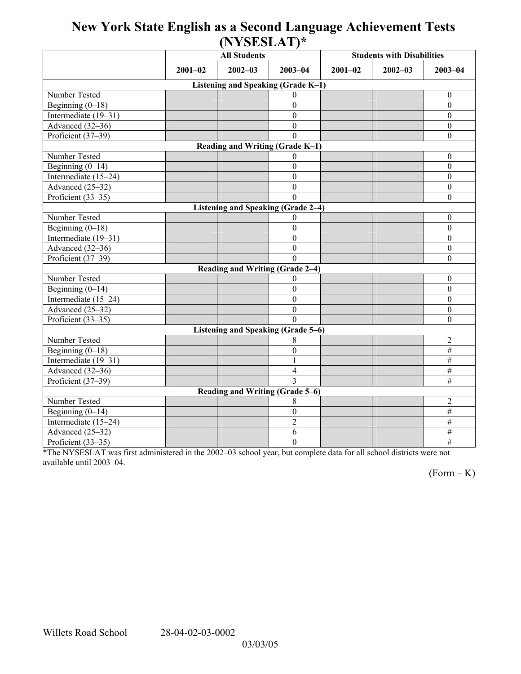## **New York State English as a Second Language Achievement Tests (NYSESLAT)\***

|                                    |             | <b>All Students</b>                |                  | <b>Students with Disabilities</b> |             |                  |  |  |  |
|------------------------------------|-------------|------------------------------------|------------------|-----------------------------------|-------------|------------------|--|--|--|
|                                    | $2001 - 02$ | $2002 - 03$                        | $2003 - 04$      | $2001 - 02$                       | $2002 - 03$ | $2003 - 04$      |  |  |  |
| Listening and Speaking (Grade K-1) |             |                                    |                  |                                   |             |                  |  |  |  |
| Number Tested                      |             |                                    | 0                |                                   |             | $\boldsymbol{0}$ |  |  |  |
| Beginning $(0-18)$                 |             |                                    | $\mathbf{0}$     |                                   |             | $\boldsymbol{0}$ |  |  |  |
| Intermediate (19-31)               |             |                                    | $\theta$         |                                   |             | $\boldsymbol{0}$ |  |  |  |
| Advanced (32-36)                   |             |                                    | $\overline{0}$   |                                   |             | $\boldsymbol{0}$ |  |  |  |
| Proficient (37-39)                 |             |                                    | $\Omega$         |                                   |             | $\boldsymbol{0}$ |  |  |  |
| Reading and Writing (Grade K-1)    |             |                                    |                  |                                   |             |                  |  |  |  |
| Number Tested                      |             |                                    | $\Omega$         |                                   |             | $\boldsymbol{0}$ |  |  |  |
| Beginning $(0-14)$                 |             |                                    | $\theta$         |                                   |             | $\boldsymbol{0}$ |  |  |  |
| Intermediate (15-24)               |             |                                    | $\theta$         |                                   |             | $\mathbf{0}$     |  |  |  |
| Advanced (25-32)                   |             |                                    | $\boldsymbol{0}$ |                                   |             | $\boldsymbol{0}$ |  |  |  |
| Proficient (33-35)                 |             |                                    | $\Omega$         |                                   |             | $\boldsymbol{0}$ |  |  |  |
|                                    |             | Listening and Speaking (Grade 2-4) |                  |                                   |             |                  |  |  |  |
| Number Tested                      |             |                                    | $\Omega$         |                                   |             | $\boldsymbol{0}$ |  |  |  |
| Beginning $(0-18)$                 |             |                                    | $\theta$         |                                   |             | $\mathbf{0}$     |  |  |  |
| Intermediate (19-31)               |             |                                    | $\mathbf{0}$     |                                   |             | $\boldsymbol{0}$ |  |  |  |
| Advanced (32-36)                   |             |                                    | $\mathbf{0}$     |                                   |             | $\boldsymbol{0}$ |  |  |  |
| Proficient (37-39)                 |             |                                    | $\Omega$         |                                   |             | $\boldsymbol{0}$ |  |  |  |
|                                    |             | Reading and Writing (Grade 2-4)    |                  |                                   |             |                  |  |  |  |
| Number Tested                      |             |                                    | 0                |                                   |             | $\mathbf{0}$     |  |  |  |
| Beginning $(0-14)$                 |             |                                    | $\mathbf{0}$     |                                   |             | $\mathbf{0}$     |  |  |  |
| Intermediate (15-24)               |             |                                    | $\mathbf{0}$     |                                   |             | $\mathbf{0}$     |  |  |  |
| Advanced (25-32)                   |             |                                    | $\boldsymbol{0}$ |                                   |             | $\boldsymbol{0}$ |  |  |  |
| Proficient (33-35)                 |             |                                    | $\Omega$         |                                   |             | $\mathbf{0}$     |  |  |  |
| Listening and Speaking (Grade 5-6) |             |                                    |                  |                                   |             |                  |  |  |  |
| Number Tested                      |             |                                    | 8                |                                   |             | $\overline{2}$   |  |  |  |
| Beginning $(0-18)$                 |             |                                    | $\mathbf{0}$     |                                   |             | $\overline{\#}$  |  |  |  |
| Intermediate $(19-31)$             |             |                                    | 1                |                                   |             | $\overline{\#}$  |  |  |  |
| Advanced (32-36)                   |             |                                    | $\overline{4}$   |                                   |             | $\overline{\#}$  |  |  |  |
| Proficient (37-39)                 |             |                                    | $\mathbf{3}$     |                                   |             | $\#$             |  |  |  |
| Reading and Writing (Grade 5-6)    |             |                                    |                  |                                   |             |                  |  |  |  |
| Number Tested                      |             |                                    | 8                |                                   |             | $\overline{2}$   |  |  |  |
| Beginning $(0-14)$                 |             |                                    | $\boldsymbol{0}$ |                                   |             | $\overline{\#}$  |  |  |  |
| Intermediate $(15-24)$             |             |                                    | $\overline{2}$   |                                   |             | #                |  |  |  |
| Advanced (25-32)                   |             |                                    | 6                |                                   |             | $\#$             |  |  |  |
| Proficient (33-35)                 |             |                                    | $\overline{0}$   |                                   |             | #                |  |  |  |

\*The NYSESLAT was first administered in the 2002-03 school year, but complete data for all school districts were not available until 2003-04.

 $(Form - K)$